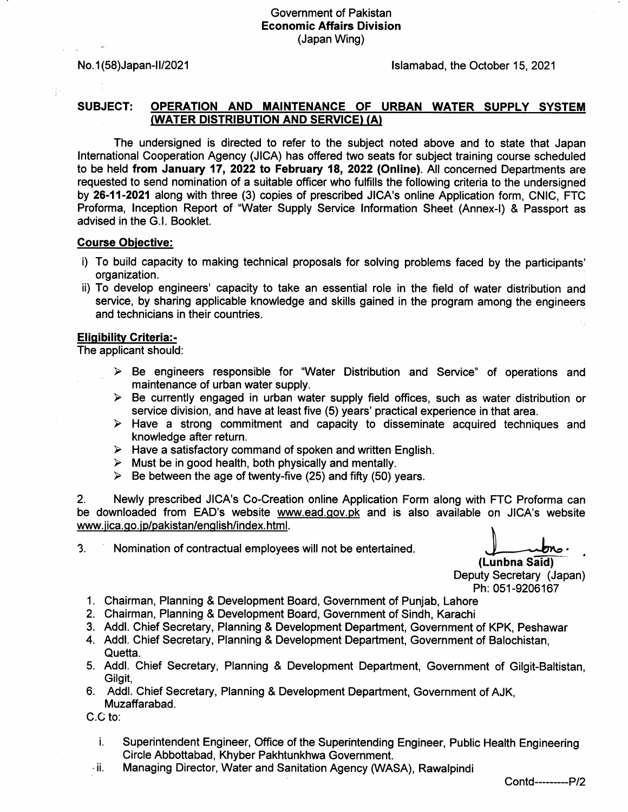## Government of Pakistan Economic Affairs Division (Japan Wing)

ţ.

No. 1(58)Japan-II/2021 **in the october 15, 2021** lslamabad, the October 15, 2021

## SUBJECT: OPERATION AND MAINTENANCE OF URBAN WATER SUPPLY SYSTEM (WATER DISTRIBUTION AND SERVICE) (A)

The undersigned is directed to refer to the subject noted above and to state that Japan lntemational Cooperation Agency (JICA) has offered two seats for subject training course scheduled to be held from January 17, 2022 to February 18, 2022 (Online). All concerned Departments are requested to send nomination of a suitable officer who fullills the following criteria to the undersigned by 26-11-2021 along with three (3) copies of prescribed JICA'S online Application form, CNIC, FTC Proforma, lnception Report of "Water Supply Service lnformation Sheet (Annex-l) & Passport as advised in the G.l. Booklet.

## **Course Objective:**

- i) To build capacity to making technical proposals for solving problems faced by the participants' organization.
- ii) To develop engineers' capacity to take an essential role in the field of water distribution and service, by sharing applicable knowledge and skills gained in the program among the engineers and technicians in their countries.

## **Eligibility Criteria:-**

The applicant should:

- $\geq$  Be engineers responsible for "Water Distribution and Service" of operations and maintenance of urban water supply.
- $\triangleright$  Be currently engaged in urban water supply field offices, such as water distribution or service division, and have at least five (5) years' practical experience in that area.
- $\geq$  Have a strong commitment and capacity to disseminate acquired techniques and knowledge after return.
- $\triangleright$  Have a satisfactory command of spoken and written English.<br>  $\triangleright$  Must be in good health, both physically and mentally.<br>  $\triangleright$  Be between the age of twenty-five (25) and fifty (50) years.
- 
- 

2. Newly prescribed JICA's Co-Greation online Application Form along with FTC Proforma can be downloaded from EAD's website www.ead.gov.pk and is also available on JICA's website www.jica.go.jp/pakistan/english/index.html.

3. Nomination of contractual employees will not be entertained.

(Lunbna Said) Deputy Secretary (Japan) Ph: 051-9206167

- 1. Chairman, Planning & Development Board, Government of Punjab, Lahore
- 2. Chairman, Planning & Development Board, Govemment of Sindh, Karachi
- 3. Addl. Chief Secretary, Planning & Development Department, Government of KPK, Peshawar
- 4. Addl. Chief Secretary, Planning & Development Department, Government of Balochistan, Quetta.
- 5. Addl. Chief Secretary, Planning & Development Department, Govemment of Gilgit-Baltistan, Gilgit,
- 6. Addl. Chief Secretary, Planning & Development Department, Government of AJK, Muzaffarabad.

C.G to:

- i. Superintendent Engineer, Office of the Superintending Engineer, Public Health Engineering Circle Abbottabad, Khyber Pakhtunkhwa Government.
- $\pm$ ii. Managing Director, Water and Sanitation Agency (WASA), Rawalpindi